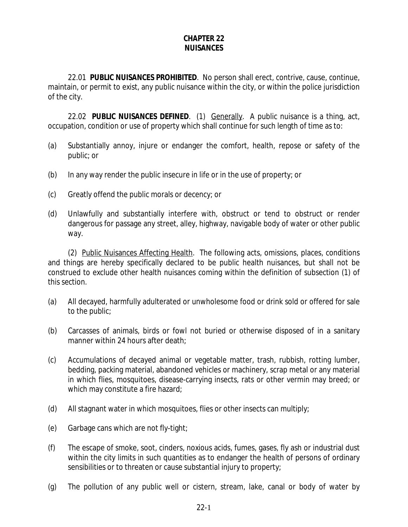#### **CHAPTER 22 NUISANCES**

22.01 **PUBLIC NUISANCES PROHIBITED**. No person shall erect, contrive, cause, continue, maintain, or permit to exist, any public nuisance within the city, or within the police jurisdiction of the city.

22.02 **PUBLIC NUISANCES DEFINED**. (1) Generally. A public nuisance is a thing, act, occupation, condition or use of property which shall continue for such length of time as to:

- (a) Substantially annoy, injure or endanger the comfort, health, repose or safety of the public; or
- (b) In any way render the public insecure in life or in the use of property; or
- (c) Greatly offend the public morals or decency; or
- (d) Unlawfully and substantially interfere with, obstruct or tend to obstruct or render dangerous for passage any street, alley, highway, navigable body of water or other public way.

(2) Public Nuisances Affecting Health. The following acts, omissions, places, conditions and things are hereby specifically declared to be public health nuisances, but shall not be construed to exclude other health nuisances coming within the definition of subsection (1) of this section.

- (a) All decayed, harmfully adulterated or unwholesome food or drink sold or offered for sale to the public;
- (b) Carcasses of animals, birds or fowl not buried or otherwise disposed of in a sanitary manner within 24 hours after death;
- (c) Accumulations of decayed animal or vegetable matter, trash, rubbish, rotting lumber, bedding, packing material, abandoned vehicles or machinery, scrap metal or any material in which flies, mosquitoes, disease-carrying insects, rats or other vermin may breed; or which may constitute a fire hazard;
- (d) All stagnant water in which mosquitoes, flies or other insects can multiply;
- (e) Garbage cans which are not fly-tight;
- (f) The escape of smoke, soot, cinders, noxious acids, fumes, gases, fly ash or industrial dust within the city limits in such quantities as to endanger the health of persons of ordinary sensibilities or to threaten or cause substantial injury to property;
- (g) The pollution of any public well or cistern, stream, lake, canal or body of water by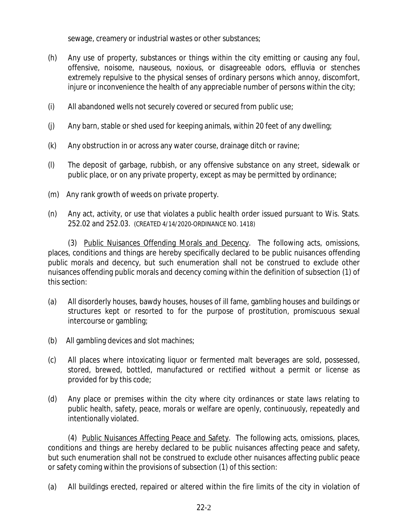sewage, creamery or industrial wastes or other substances;

- (h) Any use of property, substances or things within the city emitting or causing any foul, offensive, noisome, nauseous, noxious, or disagreeable odors, effluvia or stenches extremely repulsive to the physical senses of ordinary persons which annoy, discomfort, injure or inconvenience the health of any appreciable number of persons within the city;
- (i) All abandoned wells not securely covered or secured from public use;
- (j) Any barn, stable or shed used for keeping animals, within 20 feet of any dwelling;
- (k) Any obstruction in or across any water course, drainage ditch or ravine;
- (l) The deposit of garbage, rubbish, or any offensive substance on any street, sidewalk or public place, or on any private property, except as may be permitted by ordinance;
- (m) Any rank growth of weeds on private property.
- (n) Any act, activity, or use that violates a public health order issued pursuant to Wis. Stats. 252.02 and 252.03. (CREATED 4/14/2020-ORDINANCE NO. 1418)

(3) Public Nuisances Offending Morals and Decency. The following acts, omissions, places, conditions and things are hereby specifically declared to be public nuisances offending public morals and decency, but such enumeration shall not be construed to exclude other nuisances offending public morals and decency coming within the definition of subsection (1) of this section:

- (a) All disorderly houses, bawdy houses, houses of ill fame, gambling houses and buildings or structures kept or resorted to for the purpose of prostitution, promiscuous sexual intercourse or gambling;
- (b) All gambling devices and slot machines;
- (c) All places where intoxicating liquor or fermented malt beverages are sold, possessed, stored, brewed, bottled, manufactured or rectified without a permit or license as provided for by this code;
- (d) Any place or premises within the city where city ordinances or state laws relating to public health, safety, peace, morals or welfare are openly, continuously, repeatedly and intentionally violated.

(4) Public Nuisances Affecting Peace and Safety. The following acts, omissions, places, conditions and things are hereby declared to be public nuisances affecting peace and safety, but such enumeration shall not be construed to exclude other nuisances affecting public peace or safety coming within the provisions of subsection (1) of this section:

(a) All buildings erected, repaired or altered within the fire limits of the city in violation of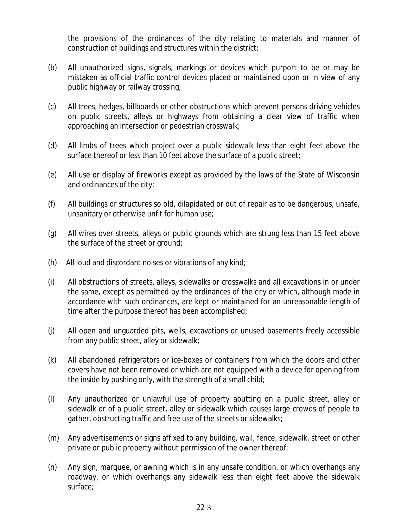the provisions of the ordinances of the city relating to materials and manner of construction of buildings and structures within the district;

- (b) All unauthorized signs, signals, markings or devices which purport to be or may be mistaken as official traffic control devices placed or maintained upon or in view of any public highway or railway crossing;
- (c) All trees, hedges, billboards or other obstructions which prevent persons driving vehicles on public streets, alleys or highways from obtaining a clear view of traffic when approaching an intersection or pedestrian crosswalk;
- (d) All limbs of trees which project over a public sidewalk less than eight feet above the surface thereof or less than 10 feet above the surface of a public street;
- (e) All use or display of fireworks except as provided by the laws of the State of Wisconsin and ordinances of the city;
- (f) All buildings or structures so old, dilapidated or out of repair as to be dangerous, unsafe, unsanitary or otherwise unfit for human use;
- (g) All wires over streets, alleys or public grounds which are strung less than 15 feet above the surface of the street or ground;
- (h) All loud and discordant noises or vibrations of any kind;
- (i) All obstructions of streets, alleys, sidewalks or crosswalks and all excavations in or under the same, except as permitted by the ordinances of the city or which, although made in accordance with such ordinances, are kept or maintained for an unreasonable length of time after the purpose thereof has been accomplished;
- (j) All open and unguarded pits, wells, excavations or unused basements freely accessible from any public street, alley or sidewalk;
- (k) All abandoned refrigerators or ice-boxes or containers from which the doors and other covers have not been removed or which are not equipped with a device for opening from the inside by pushing only, with the strength of a small child;
- (l) Any unauthorized or unlawful use of property abutting on a public street, alley or sidewalk or of a public street, alley or sidewalk which causes large crowds of people to gather, obstructing traffic and free use of the streets or sidewalks;
- (m) Any advertisements or signs affixed to any building, wall, fence, sidewalk, street or other private or public property without permission of the owner thereof;
- (n) Any sign, marquee, or awning which is in any unsafe condition, or which overhangs any roadway, or which overhangs any sidewalk less than eight feet above the sidewalk surface;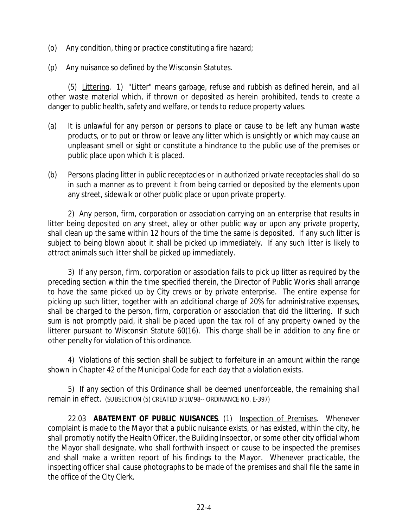- (o) Any condition, thing or practice constituting a fire hazard;
- (p) Any nuisance so defined by the Wisconsin Statutes.

(5) Littering. 1) "Litter" means garbage, refuse and rubbish as defined herein, and all other waste material which, if thrown or deposited as herein prohibited, tends to create a danger to public health, safety and welfare, or tends to reduce property values.

- (a) It is unlawful for any person or persons to place or cause to be left any human waste products, or to put or throw or leave any litter which is unsightly or which may cause an unpleasant smell or sight or constitute a hindrance to the public use of the premises or public place upon which it is placed.
- (b) Persons placing litter in public receptacles or in authorized private receptacles shall do so in such a manner as to prevent it from being carried or deposited by the elements upon any street, sidewalk or other public place or upon private property.

2) Any person, firm, corporation or association carrying on an enterprise that results in litter being deposited on any street, alley or other public way or upon any private property, shall clean up the same within 12 hours of the time the same is deposited. If any such litter is subject to being blown about it shall be picked up immediately. If any such litter is likely to attract animals such litter shall be picked up immediately.

3) If any person, firm, corporation or association fails to pick up litter as required by the preceding section within the time specified therein, the Director of Public Works shall arrange to have the same picked up by City crews or by private enterprise. The entire expense for picking up such litter, together with an additional charge of 20% for administrative expenses, shall be charged to the person, firm, corporation or association that did the littering. If such sum is not promptly paid, it shall be placed upon the tax roll of any property owned by the litterer pursuant to Wisconsin Statute 60(16). This charge shall be in addition to any fine or other penalty for violation of this ordinance.

4) Violations of this section shall be subject to forfeiture in an amount within the range shown in Chapter 42 of the Municipal Code for each day that a violation exists.

5) If any section of this Ordinance shall be deemed unenforceable, the remaining shall remain in effect. (SUBSECTION (5) CREATED 3/10/98-- ORDINANCE NO. E-397)

22.03 **ABATEMENT OF PUBLIC NUISANCES**. (1) Inspection of Premises. Whenever complaint is made to the Mayor that a public nuisance exists, or has existed, within the city, he shall promptly notify the Health Officer, the Building Inspector, or some other city official whom the Mayor shall designate, who shall forthwith inspect or cause to be inspected the premises and shall make a written report of his findings to the Mayor. Whenever practicable, the inspecting officer shall cause photographs to be made of the premises and shall file the same in the office of the City Clerk.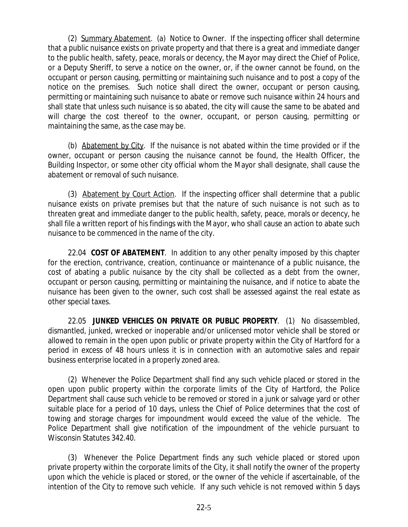(2) Summary Abatement. (a) Notice to Owner. If the inspecting officer shall determine that a public nuisance exists on private property and that there is a great and immediate danger to the public health, safety, peace, morals or decency, the Mayor may direct the Chief of Police, or a Deputy Sheriff, to serve a notice on the owner, or, if the owner cannot be found, on the occupant or person causing, permitting or maintaining such nuisance and to post a copy of the notice on the premises. Such notice shall direct the owner, occupant or person causing, permitting or maintaining such nuisance to abate or remove such nuisance within 24 hours and shall state that unless such nuisance is so abated, the city will cause the same to be abated and will charge the cost thereof to the owner, occupant, or person causing, permitting or maintaining the same, as the case may be.

(b) Abatement by City. If the nuisance is not abated within the time provided or if the owner, occupant or person causing the nuisance cannot be found, the Health Officer, the Building Inspector, or some other city official whom the Mayor shall designate, shall cause the abatement or removal of such nuisance.

(3) Abatement by Court Action. If the inspecting officer shall determine that a public nuisance exists on private premises but that the nature of such nuisance is not such as to threaten great and immediate danger to the public health, safety, peace, morals or decency, he shall file a written report of his findings with the Mayor, who shall cause an action to abate such nuisance to be commenced in the name of the city.

22.04 **COST OF ABATEMENT**. In addition to any other penalty imposed by this chapter for the erection, contrivance, creation, continuance or maintenance of a public nuisance, the cost of abating a public nuisance by the city shall be collected as a debt from the owner, occupant or person causing, permitting or maintaining the nuisance, and if notice to abate the nuisance has been given to the owner, such cost shall be assessed against the real estate as other special taxes.

22.05 **JUNKED VEHICLES ON PRIVATE OR PUBLIC PROPERTY**. (1) No disassembled, dismantled, junked, wrecked or inoperable and/or unlicensed motor vehicle shall be stored or allowed to remain in the open upon public or private property within the City of Hartford for a period in excess of 48 hours unless it is in connection with an automotive sales and repair business enterprise located in a properly zoned area.

(2) Whenever the Police Department shall find any such vehicle placed or stored in the open upon public property within the corporate limits of the City of Hartford, the Police Department shall cause such vehicle to be removed or stored in a junk or salvage yard or other suitable place for a period of 10 days, unless the Chief of Police determines that the cost of towing and storage charges for impoundment would exceed the value of the vehicle. The Police Department shall give notification of the impoundment of the vehicle pursuant to Wisconsin Statutes 342.40.

(3) Whenever the Police Department finds any such vehicle placed or stored upon private property within the corporate limits of the City, it shall notify the owner of the property upon which the vehicle is placed or stored, or the owner of the vehicle if ascertainable, of the intention of the City to remove such vehicle. If any such vehicle is not removed within 5 days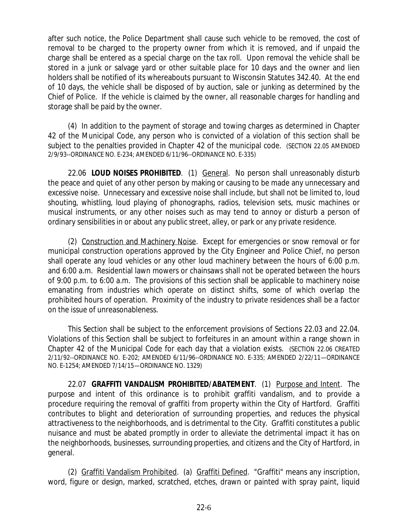after such notice, the Police Department shall cause such vehicle to be removed, the cost of removal to be charged to the property owner from which it is removed, and if unpaid the charge shall be entered as a special charge on the tax roll. Upon removal the vehicle shall be stored in a junk or salvage yard or other suitable place for 10 days and the owner and lien holders shall be notified of its whereabouts pursuant to Wisconsin Statutes 342.40. At the end of 10 days, the vehicle shall be disposed of by auction, sale or junking as determined by the Chief of Police. If the vehicle is claimed by the owner, all reasonable charges for handling and storage shall be paid by the owner.

(4) In addition to the payment of storage and towing charges as determined in Chapter 42 of the Municipal Code, any person who is convicted of a violation of this section shall be subject to the penalties provided in Chapter 42 of the municipal code. (SECTION 22.05 AMENDED 2/9/93--ORDINANCE NO. E-234; AMENDED 6/11/96--ORDINANCE NO. E-335)

22.06 **LOUD NOISES PROHIBITED**. (1) General. No person shall unreasonably disturb the peace and quiet of any other person by making or causing to be made any unnecessary and excessive noise. Unnecessary and excessive noise shall include, but shall not be limited to, loud shouting, whistling, loud playing of phonographs, radios, television sets, music machines or musical instruments, or any other noises such as may tend to annoy or disturb a person of ordinary sensibilities in or about any public street, alley, or park or any private residence.

(2) Construction and Machinery Noise. Except for emergencies or snow removal or for municipal construction operations approved by the City Engineer and Police Chief, no person shall operate any loud vehicles or any other loud machinery between the hours of 6:00 p.m. and 6:00 a.m. Residential lawn mowers or chainsaws shall not be operated between the hours of 9:00 p.m. to 6:00 a.m. The provisions of this section shall be applicable to machinery noise emanating from industries which operate on distinct shifts, some of which overlap the prohibited hours of operation. Proximity of the industry to private residences shall be a factor on the issue of unreasonableness.

This Section shall be subject to the enforcement provisions of Sections 22.03 and 22.04. Violations of this Section shall be subject to forfeitures in an amount within a range shown in Chapter 42 of the Municipal Code for each day that a violation exists. (SECTION 22.06 CREATED 2/11/92--ORDINANCE NO. E-202; AMENDED 6/11/96--ORDINANCE NO. E-335; AMENDED 2/22/11—ORDINANCE NO. E-1254; AMENDED 7/14/15—ORDINANCE NO. 1329)

22.07 **GRAFFITI VANDALISM PROHIBITED/ABATEMENT**. (1) Purpose and Intent. The purpose and intent of this ordinance is to prohibit graffiti vandalism, and to provide a procedure requiring the removal of graffiti from property within the City of Hartford. Graffiti contributes to blight and deterioration of surrounding properties, and reduces the physical attractiveness to the neighborhoods, and is detrimental to the City. Graffiti constitutes a public nuisance and must be abated promptly in order to alleviate the detrimental impact it has on the neighborhoods, businesses, surrounding properties, and citizens and the City of Hartford, in general.

(2) Graffiti Vandalism Prohibited. (a) Graffiti Defined. "Graffiti" means any inscription, word, figure or design, marked, scratched, etches, drawn or painted with spray paint, liquid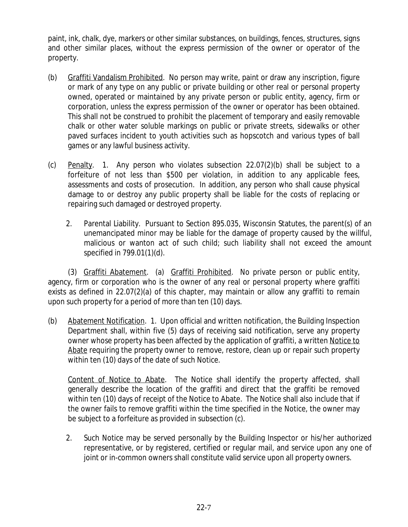paint, ink, chalk, dye, markers or other similar substances, on buildings, fences, structures, signs and other similar places, without the express permission of the owner or operator of the property.

- (b) Graffiti Vandalism Prohibited. No person may write, paint or draw any inscription, figure or mark of any type on any public or private building or other real or personal property owned, operated or maintained by any private person or public entity, agency, firm or corporation, unless the express permission of the owner or operator has been obtained. This shall not be construed to prohibit the placement of temporary and easily removable chalk or other water soluble markings on public or private streets, sidewalks or other paved surfaces incident to youth activities such as hopscotch and various types of ball games or any lawful business activity.
- (c) Penalty. 1. Any person who violates subsection 22.07(2)(b) shall be subject to a forfeiture of not less than \$500 per violation, in addition to any applicable fees, assessments and costs of prosecution. In addition, any person who shall cause physical damage to or destroy any public property shall be liable for the costs of replacing or repairing such damaged or destroyed property.
	- 2. Parental Liability. Pursuant to Section 895.035, Wisconsin Statutes, the parent(s) of an unemancipated minor may be liable for the damage of property caused by the willful, malicious or wanton act of such child; such liability shall not exceed the amount specified in 799.01(1)(d).

(3) Graffiti Abatement. (a) Graffiti Prohibited. No private person or public entity, agency, firm or corporation who is the owner of any real or personal property where graffiti exists as defined in 22.07(2)(a) of this chapter, may maintain or allow any graffiti to remain upon such property for a period of more than ten (10) days.

(b) Abatement Notification. 1. Upon official and written notification, the Building Inspection Department shall, within five (5) days of receiving said notification, serve any property owner whose property has been affected by the application of graffiti, a written Notice to Abate requiring the property owner to remove, restore, clean up or repair such property within ten (10) days of the date of such Notice.

Content of Notice to Abate. The Notice shall identify the property affected, shall generally describe the location of the graffiti and direct that the graffiti be removed within ten (10) days of receipt of the Notice to Abate. The Notice shall also include that if the owner fails to remove graffiti within the time specified in the Notice, the owner may be subject to a forfeiture as provided in subsection (c).

 2. Such Notice may be served personally by the Building Inspector or his/her authorized representative, or by registered, certified or regular mail, and service upon any one of joint or in-common owners shall constitute valid service upon all property owners.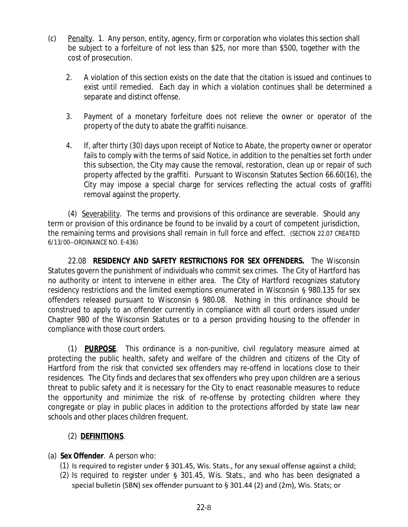- (c) Penalty. 1. Any person, entity, agency, firm or corporation who violates this section shall be subject to a forfeiture of not less than \$25, nor more than \$500, together with the cost of prosecution.
	- 2. A violation of this section exists on the date that the citation is issued and continues to exist until remedied. Each day in which a violation continues shall be determined a separate and distinct offense.
	- 3. Payment of a monetary forfeiture does not relieve the owner or operator of the property of the duty to abate the graffiti nuisance.
	- 4. If, after thirty (30) days upon receipt of Notice to Abate, the property owner or operator fails to comply with the terms of said Notice, in addition to the penalties set forth under this subsection, the City may cause the removal, restoration, clean up or repair of such property affected by the graffiti. Pursuant to Wisconsin Statutes Section 66.60(16), the City may impose a special charge for services reflecting the actual costs of graffiti removal against the property.

(4) Severability. The terms and provisions of this ordinance are severable. Should any term or provision of this ordinance be found to be invalid by a court of competent jurisdiction, the remaining terms and provisions shall remain in full force and effect. (SECTION 22.07 CREATED 6/13/00--ORDINANCE NO. E-436)

22.08 **RESIDENCY AND SAFETY RESTRICTIONS FOR SEX OFFENDERS.** The Wisconsin Statutes govern the punishment of individuals who commit sex crimes. The City of Hartford has no authority or intent to intervene in either area. The City of Hartford recognizes statutory residency restrictions and the limited exemptions enumerated in Wisconsin § 980.135 for sex offenders released pursuant to Wisconsin § 980.08. Nothing in this ordinance should be construed to apply to an offender currently in compliance with all court orders issued under Chapter 980 of the Wisconsin Statutes or to a person providing housing to the offender in compliance with those court orders.

(1) **PURPOSE**. This ordinance is a non-punitive, civil regulatory measure aimed at protecting the public health, safety and welfare of the children and citizens of the City of Hartford from the risk that convicted sex offenders may re-offend in locations close to their residences. The City finds and declares that sex offenders who prey upon children are a serious threat to public safety and it is necessary for the City to enact reasonable measures to reduce the opportunity and minimize the risk of re-offense by protecting children where they congregate or play in public places in addition to the protections afforded by state law near schools and other places children frequent.

# (2) **DEFINITIONS**.

### (a) **Sex Offender**. A person who:

- (1) Is required to register under § 301.45, Wis. Stats., for any sexual offense against a child;
- (2) Is required to register under § 301.45, Wis. Stats., and who has been designated a special bulletin (SBN) sex offender pursuant to § 301.44 (2) and (2m), Wis. Stats; or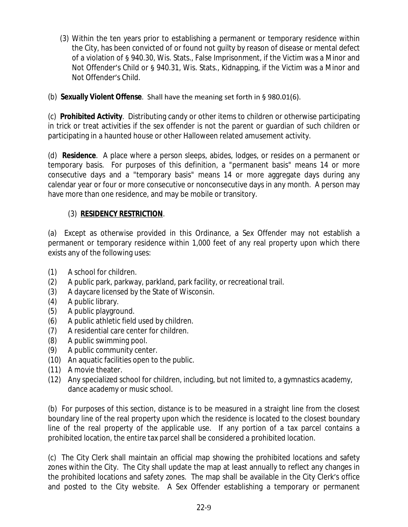(3) Within the ten years prior to establishing a permanent or temporary residence within the City, has been convicted of or found not guilty by reason of disease or mental defect of a violation of § 940.30, Wis. Stats., False Imprisonment, if the Victim was a Minor and Not Offender's Child or § 940.31, Wis. Stats., Kidnapping, if the Victim was a Minor and Not Offender's Child.

## (b) **Sexually Violent Offense**. Shall have the meaning set forth in § 980.01(6).

(c) **Prohibited Activity**. Distributing candy or other items to children or otherwise participating in trick or treat activities if the sex offender is not the parent or guardian of such children or participating in a haunted house or other Halloween related amusement activity.

(d) **Residence**. A place where a person sleeps, abides, lodges, or resides on a permanent or temporary basis. For purposes of this definition, a "permanent basis" means 14 or more consecutive days and a "temporary basis" means 14 or more aggregate days during any calendar year or four or more consecutive or nonconsecutive days in any month. A person may have more than one residence, and may be mobile or transitory.

## (3) **RESIDENCY RESTRICTION**.

(a) Except as otherwise provided in this Ordinance, a Sex Offender may not establish a permanent or temporary residence within 1,000 feet of any real property upon which there exists any of the following uses:

- (1) A school for children.
- (2) A public park, parkway, parkland, park facility, or recreational trail.
- (3) A daycare licensed by the State of Wisconsin.
- (4) A public library.
- (5) A public playground.
- (6) A public athletic field used by children.
- (7) A residential care center for children.
- (8) A public swimming pool.
- (9) A public community center.
- (10) An aquatic facilities open to the public.
- (11) A movie theater.
- (12) Any specialized school for children, including, but not limited to, a gymnastics academy, dance academy or music school.

(b) For purposes of this section, distance is to be measured in a straight line from the closest boundary line of the real property upon which the residence is located to the closest boundary line of the real property of the applicable use. If any portion of a tax parcel contains a prohibited location, the entire tax parcel shall be considered a prohibited location.

(c) The City Clerk shall maintain an official map showing the prohibited locations and safety zones within the City. The City shall update the map at least annually to reflect any changes in the prohibited locations and safety zones. The map shall be available in the City Clerk's office and posted to the City website. A Sex Offender establishing a temporary or permanent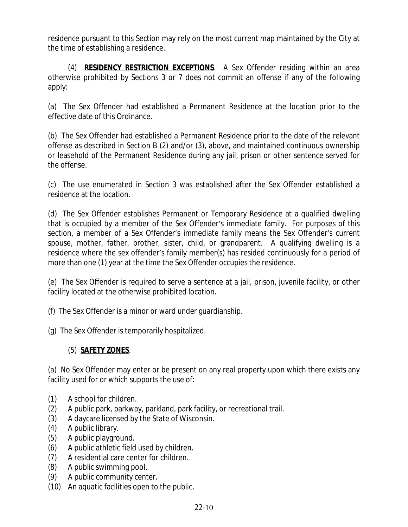residence pursuant to this Section may rely on the most current map maintained by the City at the time of establishing a residence.

(4) **RESIDENCY RESTRICTION EXCEPTIONS**. A Sex Offender residing within an area otherwise prohibited by Sections 3 or 7 does not commit an offense if any of the following apply:

(a) The Sex Offender had established a Permanent Residence at the location prior to the effective date of this Ordinance.

(b) The Sex Offender had established a Permanent Residence prior to the date of the relevant offense as described in Section B (2) and/or (3), above, and maintained continuous ownership or leasehold of the Permanent Residence during any jail, prison or other sentence served for the offense.

(c) The use enumerated in Section 3 was established after the Sex Offender established a residence at the location.

(d) The Sex Offender establishes Permanent or Temporary Residence at a qualified dwelling that is occupied by a member of the Sex Offender's immediate family. For purposes of this section, a member of a Sex Offender's immediate family means the Sex Offender's current spouse, mother, father, brother, sister, child, or grandparent. A qualifying dwelling is a residence where the sex offender's family member(s) has resided continuously for a period of more than one (1) year at the time the Sex Offender occupies the residence.

(e) The Sex Offender is required to serve a sentence at a jail, prison, juvenile facility, or other facility located at the otherwise prohibited location.

- (f) The Sex Offender is a minor or ward under guardianship.
- (g) The Sex Offender is temporarily hospitalized.

### (5) **SAFETY ZONES**.

(a) No Sex Offender may enter or be present on any real property upon which there exists any facility used for or which supports the use of:

- (1) A school for children.
- (2) A public park, parkway, parkland, park facility, or recreational trail.
- (3) A daycare licensed by the State of Wisconsin.
- (4) A public library.
- (5) A public playground.
- (6) A public athletic field used by children.
- (7) A residential care center for children.
- (8) A public swimming pool.
- (9) A public community center.
- (10) An aquatic facilities open to the public.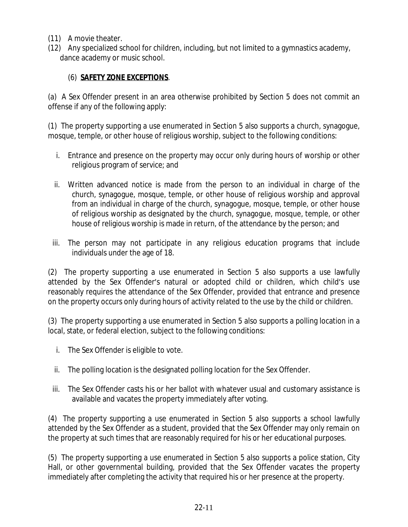- (11) A movie theater.
- (12) Any specialized school for children, including, but not limited to a gymnastics academy, dance academy or music school.

### (6) **SAFETY ZONE EXCEPTIONS**.

(a) A Sex Offender present in an area otherwise prohibited by Section 5 does not commit an offense if any of the following apply:

(1) The property supporting a use enumerated in Section 5 also supports a church, synagogue, mosque, temple, or other house of religious worship, subject to the following conditions:

- i. Entrance and presence on the property may occur only during hours of worship or other religious program of service; and
- ii. Written advanced notice is made from the person to an individual in charge of the church, synagogue, mosque, temple, or other house of religious worship and approval from an individual in charge of the church, synagogue, mosque, temple, or other house of religious worship as designated by the church, synagogue, mosque, temple, or other house of religious worship is made in return, of the attendance by the person; and
- iii. The person may not participate in any religious education programs that include individuals under the age of 18.

(2) The property supporting a use enumerated in Section 5 also supports a use lawfully attended by the Sex Offender's natural or adopted child or children, which child's use reasonably requires the attendance of the Sex Offender, provided that entrance and presence on the property occurs only during hours of activity related to the use by the child or children.

(3) The property supporting a use enumerated in Section 5 also supports a polling location in a local, state, or federal election, subject to the following conditions:

- i. The Sex Offender is eligible to vote.
- ii. The polling location is the designated polling location for the Sex Offender.
- iii. The Sex Offender casts his or her ballot with whatever usual and customary assistance is available and vacates the property immediately after voting.

(4) The property supporting a use enumerated in Section 5 also supports a school lawfully attended by the Sex Offender as a student, provided that the Sex Offender may only remain on the property at such times that are reasonably required for his or her educational purposes.

(5) The property supporting a use enumerated in Section 5 also supports a police station, City Hall, or other governmental building, provided that the Sex Offender vacates the property immediately after completing the activity that required his or her presence at the property.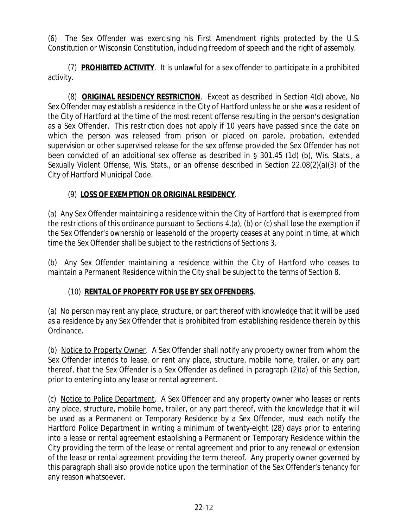(6) The Sex Offender was exercising his First Amendment rights protected by the U.S. Constitution or Wisconsin Constitution, including freedom of speech and the right of assembly.

(7) **PROHIBITED ACTIVITY**. It is unlawful for a sex offender to participate in a prohibited activity.

(8) **ORIGINAL RESIDENCY RESTRICTION**. Except as described in Section 4(d) above, No Sex Offender may establish a residence in the City of Hartford unless he or she was a resident of the City of Hartford at the time of the most recent offense resulting in the person's designation as a Sex Offender. This restriction does not apply if 10 years have passed since the date on which the person was released from prison or placed on parole, probation, extended supervision or other supervised release for the sex offense provided the Sex Offender has not been convicted of an additional sex offense as described in § 301.45 (1d) (b), Wis. Stats., a Sexually Violent Offense, Wis. Stats., or an offense described in Section 22.08(2)(a)(3) of the City of Hartford Municipal Code.

# (9) **LOSS OF EXEMPTION OR ORIGINAL RESIDENCY**.

(a) Any Sex Offender maintaining a residence within the City of Hartford that is exempted from the restrictions of this ordinance pursuant to Sections 4.(a), (b) or (c) shall lose the exemption if the Sex Offender's ownership or leasehold of the property ceases at any point in time, at which time the Sex Offender shall be subject to the restrictions of Sections 3.

(b) Any Sex Offender maintaining a residence within the City of Hartford who ceases to maintain a Permanent Residence within the City shall be subject to the terms of Section 8.

### (10) **RENTAL OF PROPERTY FOR USE BY SEX OFFENDERS**.

(a) No person may rent any place, structure, or part thereof with knowledge that it will be used as a residence by any Sex Offender that is prohibited from establishing residence therein by this Ordinance.

(b) Notice to Property Owner. A Sex Offender shall notify any property owner from whom the Sex Offender intends to lease, or rent any place, structure, mobile home, trailer, or any part thereof, that the Sex Offender is a Sex Offender as defined in paragraph (2)(a) of this Section, prior to entering into any lease or rental agreement.

(c) Notice to Police Department. A Sex Offender and any property owner who leases or rents any place, structure, mobile home, trailer, or any part thereof, with the knowledge that it will be used as a Permanent or Temporary Residence by a Sex Offender, must each notify the Hartford Police Department in writing a minimum of twenty-eight (28) days prior to entering into a lease or rental agreement establishing a Permanent or Temporary Residence within the City providing the term of the lease or rental agreement and prior to any renewal or extension of the lease or rental agreement providing the term thereof. Any property owner governed by this paragraph shall also provide notice upon the termination of the Sex Offender's tenancy for any reason whatsoever.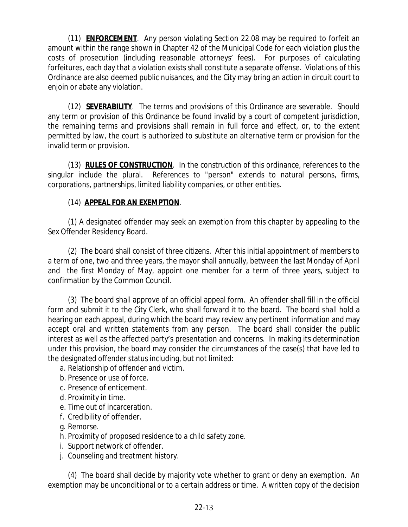(11) **ENFORCEMENT**. Any person violating Section 22.08 may be required to forfeit an amount within the range shown in Chapter 42 of the Municipal Code for each violation plus the costs of prosecution (including reasonable attorneys' fees). For purposes of calculating forfeitures, each day that a violation exists shall constitute a separate offense. Violations of this Ordinance are also deemed public nuisances, and the City may bring an action in circuit court to enjoin or abate any violation.

(12) **SEVERABILITY**. The terms and provisions of this Ordinance are severable. Should any term or provision of this Ordinance be found invalid by a court of competent jurisdiction, the remaining terms and provisions shall remain in full force and effect, or, to the extent permitted by law, the court is authorized to substitute an alternative term or provision for the invalid term or provision.

(13) **RULES OF CONSTRUCTION**. In the construction of this ordinance, references to the singular include the plural. References to "person" extends to natural persons, firms, corporations, partnerships, limited liability companies, or other entities.

### (14) **APPEAL FOR AN EXEMPTION**.

(1) A designated offender may seek an exemption from this chapter by appealing to the Sex Offender Residency Board.

(2) The board shall consist of three citizens. After this initial appointment of members to a term of one, two and three years, the mayor shall annually, between the last Monday of April and the first Monday of May, appoint one member for a term of three years, subject to confirmation by the Common Council.

(3) The board shall approve of an official appeal form. An offender shall fill in the official form and submit it to the City Clerk, who shall forward it to the board. The board shall hold a hearing on each appeal, during which the board may review any pertinent information and may accept oral and written statements from any person. The board shall consider the public interest as well as the affected party's presentation and concerns. In making its determination under this provision, the board may consider the circumstances of the case(s) that have led to the designated offender status including, but not limited:

- a. Relationship of offender and victim.
- b. Presence or use of force.
- c. Presence of enticement.
- d. Proximity in time.
- e. Time out of incarceration.
- f. Credibility of offender.
- g. Remorse.
- h. Proximity of proposed residence to a child safety zone.
- i. Support network of offender.
- j. Counseling and treatment history.

(4) The board shall decide by majority vote whether to grant or deny an exemption. An exemption may be unconditional or to a certain address or time. A written copy of the decision